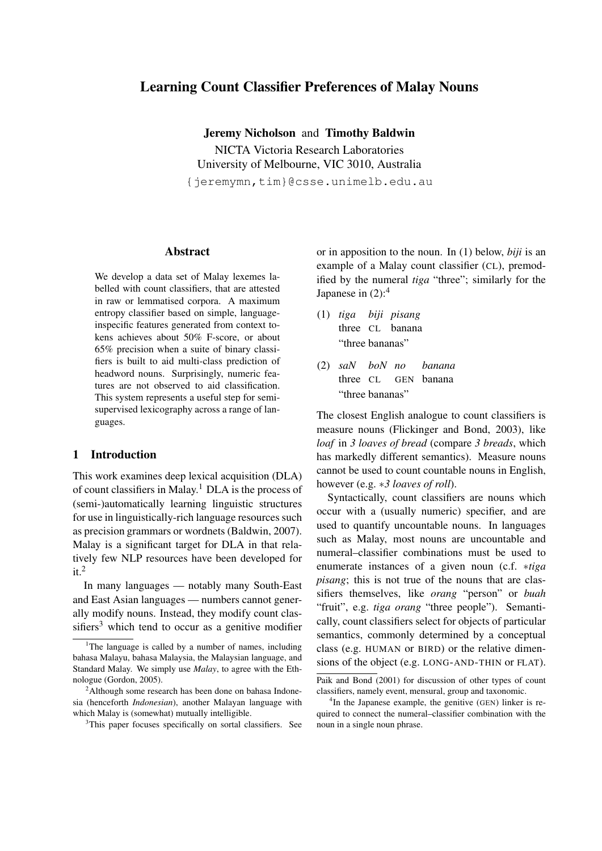# Learning Count Classifier Preferences of Malay Nouns

Jeremy Nicholson and Timothy Baldwin NICTA Victoria Research Laboratories University of Melbourne, VIC 3010, Australia {jeremymn,tim}@csse.unimelb.edu.au

#### Abstract

We develop a data set of Malay lexemes labelled with count classifiers, that are attested in raw or lemmatised corpora. A maximum entropy classifier based on simple, languageinspecific features generated from context tokens achieves about 50% F-score, or about 65% precision when a suite of binary classifiers is built to aid multi-class prediction of headword nouns. Surprisingly, numeric features are not observed to aid classification. This system represents a useful step for semisupervised lexicography across a range of languages.

## 1 Introduction

This work examines deep lexical acquisition (DLA) of count classifiers in Malay.<sup>1</sup> DLA is the process of (semi-)automatically learning linguistic structures for use in linguistically-rich language resources such as precision grammars or wordnets (Baldwin, 2007). Malay is a significant target for DLA in that relatively few NLP resources have been developed for  $it.<sup>2</sup>$ 

In many languages — notably many South-East and East Asian languages — numbers cannot generally modify nouns. Instead, they modify count classifiers<sup>3</sup> which tend to occur as a genitive modifier or in apposition to the noun. In (1) below, *biji* is an example of a Malay count classifier (CL), premodified by the numeral *tiga* "three"; similarly for the Japanese in  $(2)$ :<sup>4</sup>

- (1) *tiga biji pisang* three CL banana "three bananas"
- (2) *saN boN no* three CL GEN banana *banana* "three bananas"

The closest English analogue to count classifiers is measure nouns (Flickinger and Bond, 2003), like *loaf* in *3 loaves of bread* (compare *3 breads*, which has markedly different semantics). Measure nouns cannot be used to count countable nouns in English, however (e.g. *∗3 loaves of roll*).

Syntactically, count classifiers are nouns which occur with a (usually numeric) specifier, and are used to quantify uncountable nouns. In languages such as Malay, most nouns are uncountable and numeral–classifier combinations must be used to enumerate instances of a given noun (c.f. *∗tiga pisang*; this is not true of the nouns that are classifiers themselves, like *orang* "person" or *buah* "fruit", e.g. *tiga orang* "three people"). Semantically, count classifiers select for objects of particular semantics, commonly determined by a conceptual class (e.g. HUMAN or BIRD) or the relative dimensions of the object (e.g. LONG-AND-THIN or FLAT).

<sup>&</sup>lt;sup>1</sup>The language is called by a number of names, including bahasa Malayu, bahasa Malaysia, the Malaysian language, and Standard Malay. We simply use *Malay*, to agree with the Ethnologue (Gordon, 2005).

<sup>&</sup>lt;sup>2</sup>Although some research has been done on bahasa Indonesia (henceforth *Indonesian*), another Malayan language with which Malay is (somewhat) mutually intelligible.

<sup>&</sup>lt;sup>3</sup>This paper focuses specifically on sortal classifiers. See

Paik and Bond (2001) for discussion of other types of count classifiers, namely event, mensural, group and taxonomic.

<sup>4</sup> In the Japanese example, the genitive (GEN) linker is required to connect the numeral–classifier combination with the noun in a single noun phrase.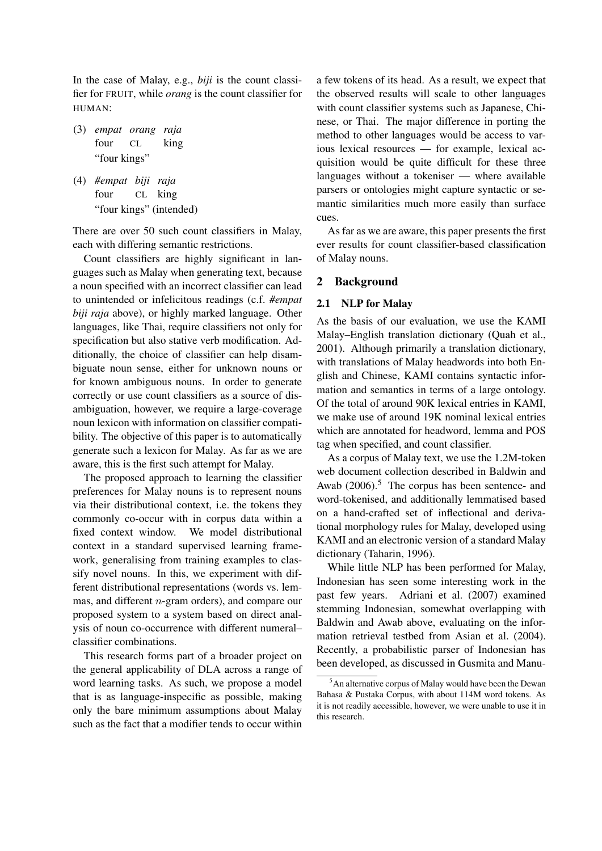In the case of Malay, e.g., *biji* is the count classifier for FRUIT, while *orang* is the count classifier for HUMAN:

- (3) *empat orang raja* four CL king "four kings"
- (4) *#empat biji raja* four CL king "four kings" (intended)

There are over 50 such count classifiers in Malay, each with differing semantic restrictions.

Count classifiers are highly significant in languages such as Malay when generating text, because a noun specified with an incorrect classifier can lead to unintended or infelicitous readings (c.f. *#empat biji raja* above), or highly marked language. Other languages, like Thai, require classifiers not only for specification but also stative verb modification. Additionally, the choice of classifier can help disambiguate noun sense, either for unknown nouns or for known ambiguous nouns. In order to generate correctly or use count classifiers as a source of disambiguation, however, we require a large-coverage noun lexicon with information on classifier compatibility. The objective of this paper is to automatically generate such a lexicon for Malay. As far as we are aware, this is the first such attempt for Malay.

The proposed approach to learning the classifier preferences for Malay nouns is to represent nouns via their distributional context, i.e. the tokens they commonly co-occur with in corpus data within a fixed context window. We model distributional context in a standard supervised learning framework, generalising from training examples to classify novel nouns. In this, we experiment with different distributional representations (words vs. lemmas, and different *n*-gram orders), and compare our proposed system to a system based on direct analysis of noun co-occurrence with different numeral– classifier combinations.

This research forms part of a broader project on the general applicability of DLA across a range of word learning tasks. As such, we propose a model that is as language-inspecific as possible, making only the bare minimum assumptions about Malay such as the fact that a modifier tends to occur within

a few tokens of its head. As a result, we expect that the observed results will scale to other languages with count classifier systems such as Japanese, Chinese, or Thai. The major difference in porting the method to other languages would be access to various lexical resources — for example, lexical acquisition would be quite difficult for these three languages without a tokeniser — where available parsers or ontologies might capture syntactic or semantic similarities much more easily than surface cues.

As far as we are aware, this paper presents the first ever results for count classifier-based classification of Malay nouns.

## 2 Background

### 2.1 NLP for Malay

As the basis of our evaluation, we use the KAMI Malay–English translation dictionary (Quah et al., 2001). Although primarily a translation dictionary, with translations of Malay headwords into both English and Chinese, KAMI contains syntactic information and semantics in terms of a large ontology. Of the total of around 90K lexical entries in KAMI, we make use of around 19K nominal lexical entries which are annotated for headword, lemma and POS tag when specified, and count classifier.

As a corpus of Malay text, we use the 1.2M-token web document collection described in Baldwin and Awab  $(2006)$ <sup>5</sup>. The corpus has been sentence- and word-tokenised, and additionally lemmatised based on a hand-crafted set of inflectional and derivational morphology rules for Malay, developed using KAMI and an electronic version of a standard Malay dictionary (Taharin, 1996).

While little NLP has been performed for Malay, Indonesian has seen some interesting work in the past few years. Adriani et al. (2007) examined stemming Indonesian, somewhat overlapping with Baldwin and Awab above, evaluating on the information retrieval testbed from Asian et al. (2004). Recently, a probabilistic parser of Indonesian has been developed, as discussed in Gusmita and Manu-

<sup>5</sup>An alternative corpus of Malay would have been the Dewan Bahasa & Pustaka Corpus, with about 114M word tokens. As it is not readily accessible, however, we were unable to use it in this research.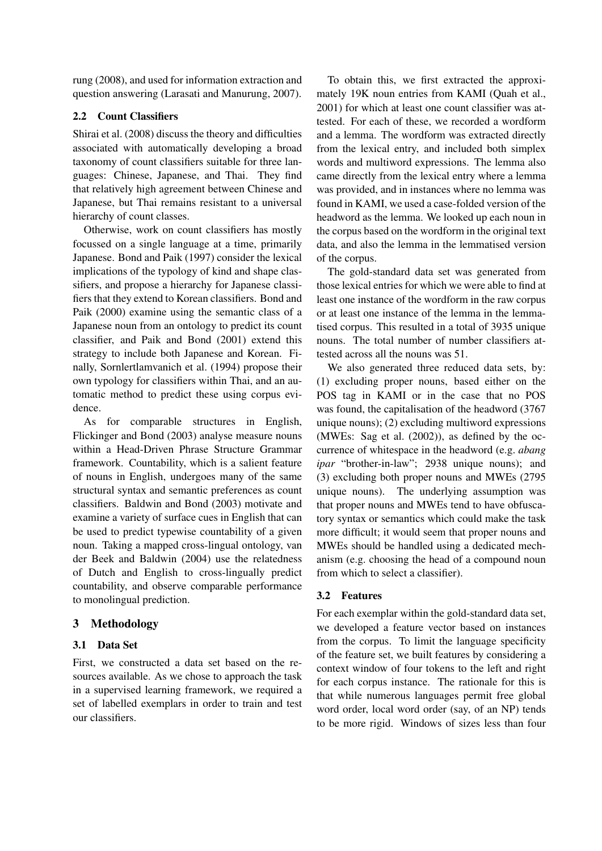rung (2008), and used for information extraction and question answering (Larasati and Manurung, 2007).

## 2.2 Count Classifiers

Shirai et al. (2008) discuss the theory and difficulties associated with automatically developing a broad taxonomy of count classifiers suitable for three languages: Chinese, Japanese, and Thai. They find that relatively high agreement between Chinese and Japanese, but Thai remains resistant to a universal hierarchy of count classes.

Otherwise, work on count classifiers has mostly focussed on a single language at a time, primarily Japanese. Bond and Paik (1997) consider the lexical implications of the typology of kind and shape classifiers, and propose a hierarchy for Japanese classifiers that they extend to Korean classifiers. Bond and Paik (2000) examine using the semantic class of a Japanese noun from an ontology to predict its count classifier, and Paik and Bond (2001) extend this strategy to include both Japanese and Korean. Finally, Sornlertlamvanich et al. (1994) propose their own typology for classifiers within Thai, and an automatic method to predict these using corpus evidence.

As for comparable structures in English, Flickinger and Bond (2003) analyse measure nouns within a Head-Driven Phrase Structure Grammar framework. Countability, which is a salient feature of nouns in English, undergoes many of the same structural syntax and semantic preferences as count classifiers. Baldwin and Bond (2003) motivate and examine a variety of surface cues in English that can be used to predict typewise countability of a given noun. Taking a mapped cross-lingual ontology, van der Beek and Baldwin (2004) use the relatedness of Dutch and English to cross-lingually predict countability, and observe comparable performance to monolingual prediction.

## 3 Methodology

## 3.1 Data Set

First, we constructed a data set based on the resources available. As we chose to approach the task in a supervised learning framework, we required a set of labelled exemplars in order to train and test our classifiers.

To obtain this, we first extracted the approximately 19K noun entries from KAMI (Quah et al., 2001) for which at least one count classifier was attested. For each of these, we recorded a wordform and a lemma. The wordform was extracted directly from the lexical entry, and included both simplex words and multiword expressions. The lemma also came directly from the lexical entry where a lemma was provided, and in instances where no lemma was found in KAMI, we used a case-folded version of the headword as the lemma. We looked up each noun in the corpus based on the wordform in the original text data, and also the lemma in the lemmatised version of the corpus.

The gold-standard data set was generated from those lexical entries for which we were able to find at least one instance of the wordform in the raw corpus or at least one instance of the lemma in the lemmatised corpus. This resulted in a total of 3935 unique nouns. The total number of number classifiers attested across all the nouns was 51.

We also generated three reduced data sets, by: (1) excluding proper nouns, based either on the POS tag in KAMI or in the case that no POS was found, the capitalisation of the headword (3767 unique nouns); (2) excluding multiword expressions (MWEs: Sag et al. (2002)), as defined by the occurrence of whitespace in the headword (e.g. *abang ipar* "brother-in-law"; 2938 unique nouns); and (3) excluding both proper nouns and MWEs (2795 unique nouns). The underlying assumption was that proper nouns and MWEs tend to have obfuscatory syntax or semantics which could make the task more difficult; it would seem that proper nouns and MWEs should be handled using a dedicated mechanism (e.g. choosing the head of a compound noun from which to select a classifier).

## 3.2 Features

For each exemplar within the gold-standard data set, we developed a feature vector based on instances from the corpus. To limit the language specificity of the feature set, we built features by considering a context window of four tokens to the left and right for each corpus instance. The rationale for this is that while numerous languages permit free global word order, local word order (say, of an NP) tends to be more rigid. Windows of sizes less than four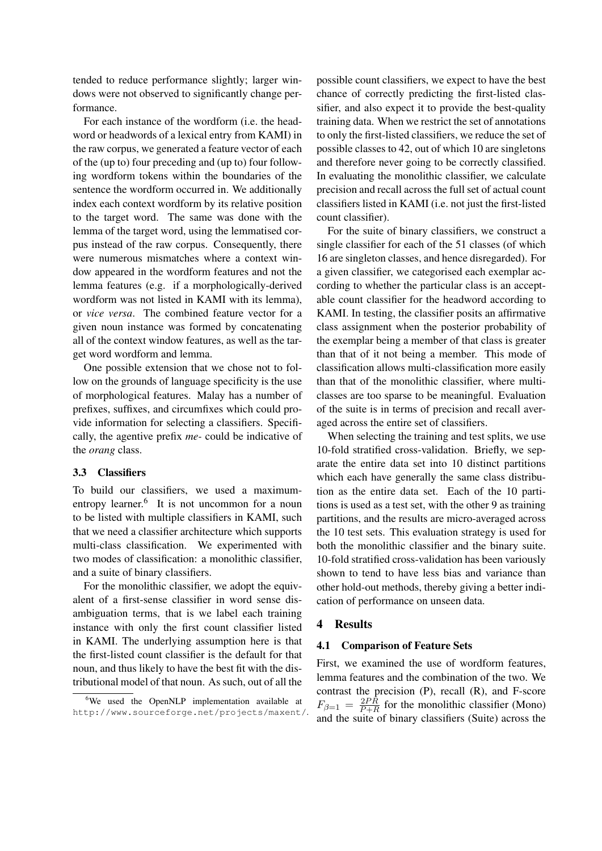tended to reduce performance slightly; larger windows were not observed to significantly change performance.

For each instance of the wordform (i.e. the headword or headwords of a lexical entry from KAMI) in the raw corpus, we generated a feature vector of each of the (up to) four preceding and (up to) four following wordform tokens within the boundaries of the sentence the wordform occurred in. We additionally index each context wordform by its relative position to the target word. The same was done with the lemma of the target word, using the lemmatised corpus instead of the raw corpus. Consequently, there were numerous mismatches where a context window appeared in the wordform features and not the lemma features (e.g. if a morphologically-derived wordform was not listed in KAMI with its lemma), or *vice versa*. The combined feature vector for a given noun instance was formed by concatenating all of the context window features, as well as the target word wordform and lemma.

One possible extension that we chose not to follow on the grounds of language specificity is the use of morphological features. Malay has a number of prefixes, suffixes, and circumfixes which could provide information for selecting a classifiers. Specifically, the agentive prefix *me-* could be indicative of the *orang* class.

### 3.3 Classifiers

To build our classifiers, we used a maximumentropy learner.<sup>6</sup> It is not uncommon for a noun to be listed with multiple classifiers in KAMI, such that we need a classifier architecture which supports multi-class classification. We experimented with two modes of classification: a monolithic classifier, and a suite of binary classifiers.

For the monolithic classifier, we adopt the equivalent of a first-sense classifier in word sense disambiguation terms, that is we label each training instance with only the first count classifier listed in KAMI. The underlying assumption here is that the first-listed count classifier is the default for that noun, and thus likely to have the best fit with the distributional model of that noun. As such, out of all the possible count classifiers, we expect to have the best chance of correctly predicting the first-listed classifier, and also expect it to provide the best-quality training data. When we restrict the set of annotations to only the first-listed classifiers, we reduce the set of possible classes to 42, out of which 10 are singletons and therefore never going to be correctly classified. In evaluating the monolithic classifier, we calculate precision and recall across the full set of actual count classifiers listed in KAMI (i.e. not just the first-listed count classifier).

For the suite of binary classifiers, we construct a single classifier for each of the 51 classes (of which 16 are singleton classes, and hence disregarded). For a given classifier, we categorised each exemplar according to whether the particular class is an acceptable count classifier for the headword according to KAMI. In testing, the classifier posits an affirmative class assignment when the posterior probability of the exemplar being a member of that class is greater than that of it not being a member. This mode of classification allows multi-classification more easily than that of the monolithic classifier, where multiclasses are too sparse to be meaningful. Evaluation of the suite is in terms of precision and recall averaged across the entire set of classifiers.

When selecting the training and test splits, we use 10-fold stratified cross-validation. Briefly, we separate the entire data set into 10 distinct partitions which each have generally the same class distribution as the entire data set. Each of the 10 partitions is used as a test set, with the other 9 as training partitions, and the results are micro-averaged across the 10 test sets. This evaluation strategy is used for both the monolithic classifier and the binary suite. 10-fold stratified cross-validation has been variously shown to tend to have less bias and variance than other hold-out methods, thereby giving a better indication of performance on unseen data.

## 4 Results

### 4.1 Comparison of Feature Sets

First, we examined the use of wordform features, lemma features and the combination of the two. We contrast the precision  $(P)$ , recall  $(R)$ , and F-score  $F_{\beta=1} = \frac{2PR}{P+R}$  $\frac{2P}{P+R}$  for the monolithic classifier (Mono) and the suite of binary classifiers (Suite) across the

<sup>&</sup>lt;sup>6</sup>We used the OpenNLP implementation available at http://www.sourceforge.net/projects/maxent/.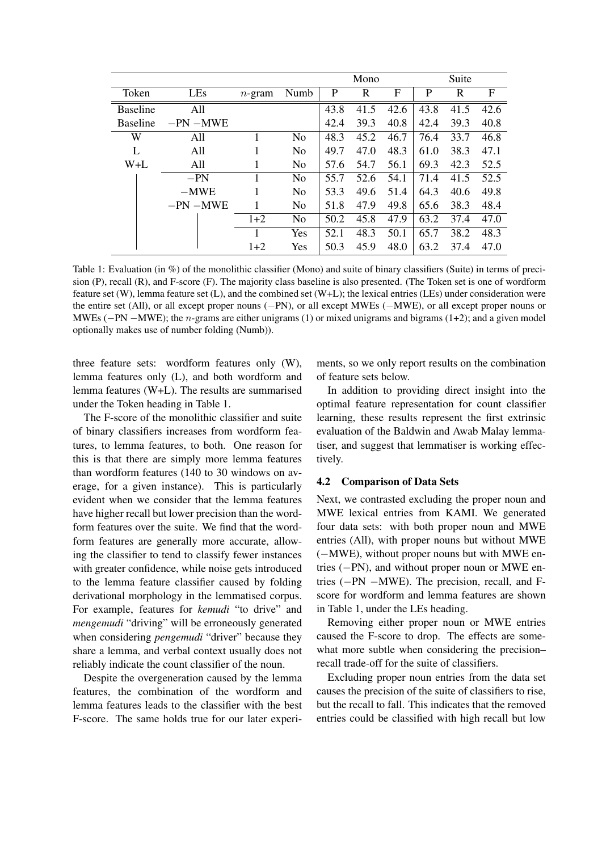|                 |             |           |                | Mono |      |      | Suite |      |      |
|-----------------|-------------|-----------|----------------|------|------|------|-------|------|------|
| Token           | LEs         | $n$ -gram | Numb           | P    | R    | F    | P     | R    | F    |
| <b>Baseline</b> | All         |           |                | 43.8 | 41.5 | 42.6 | 43.8  | 41.5 | 42.6 |
| <b>Baseline</b> | $-PN - MWE$ |           |                | 42.4 | 39.3 | 40.8 | 42.4  | 39.3 | 40.8 |
| W               | All         |           | N <sub>0</sub> | 48.3 | 45.2 | 46.7 | 76.4  | 33.7 | 46.8 |
| L               | All         |           | N <sub>0</sub> | 49.7 | 47.0 | 48.3 | 61.0  | 38.3 | 47.1 |
| $W+L$           | All         |           | N <sub>0</sub> | 57.6 | 54.7 | 56.1 | 69.3  | 42.3 | 52.5 |
|                 | $-PN$       |           | N <sub>0</sub> | 55.7 | 52.6 | 54.1 | 71.4  | 41.5 | 52.5 |
|                 | $-MWE$      |           | N <sub>0</sub> | 53.3 | 49.6 | 51.4 | 64.3  | 40.6 | 49.8 |
|                 | $-PN - MWE$ |           | N <sub>0</sub> | 51.8 | 47.9 | 49.8 | 65.6  | 38.3 | 48.4 |
|                 |             | $1+2$     | N <sub>0</sub> | 50.2 | 45.8 | 47.9 | 63.2  | 37.4 | 47.0 |
|                 |             |           | Yes            | 52.1 | 48.3 | 50.1 | 65.7  | 38.2 | 48.3 |
|                 |             | $1+2$     | Yes            | 50.3 | 45.9 | 48.0 | 63.2  | 37.4 | 47.0 |

Table 1: Evaluation (in %) of the monolithic classifier (Mono) and suite of binary classifiers (Suite) in terms of precision (P), recall (R), and F-score (F). The majority class baseline is also presented. (The Token set is one of wordform feature set (W), lemma feature set (L), and the combined set (W+L); the lexical entries (LEs) under consideration were the entire set (All), or all except proper nouns (*−*PN), or all except MWEs (*−*MWE), or all except proper nouns or MWEs (*−*PN *−*MWE); the *n*-grams are either unigrams (1) or mixed unigrams and bigrams (1+2); and a given model optionally makes use of number folding (Numb)).

three feature sets: wordform features only (W), lemma features only (L), and both wordform and lemma features (W+L). The results are summarised under the Token heading in Table 1.

The F-score of the monolithic classifier and suite of binary classifiers increases from wordform features, to lemma features, to both. One reason for this is that there are simply more lemma features than wordform features (140 to 30 windows on average, for a given instance). This is particularly evident when we consider that the lemma features have higher recall but lower precision than the wordform features over the suite. We find that the wordform features are generally more accurate, allowing the classifier to tend to classify fewer instances with greater confidence, while noise gets introduced to the lemma feature classifier caused by folding derivational morphology in the lemmatised corpus. For example, features for *kemudi* "to drive" and *mengemudi* "driving" will be erroneously generated when considering *pengemudi* "driver" because they share a lemma, and verbal context usually does not reliably indicate the count classifier of the noun.

Despite the overgeneration caused by the lemma features, the combination of the wordform and lemma features leads to the classifier with the best F-score. The same holds true for our later experiments, so we only report results on the combination of feature sets below.

In addition to providing direct insight into the optimal feature representation for count classifier learning, these results represent the first extrinsic evaluation of the Baldwin and Awab Malay lemmatiser, and suggest that lemmatiser is working effectively.

#### 4.2 Comparison of Data Sets

Next, we contrasted excluding the proper noun and MWE lexical entries from KAMI. We generated four data sets: with both proper noun and MWE entries (All), with proper nouns but without MWE (*−*MWE), without proper nouns but with MWE entries (*−*PN), and without proper noun or MWE entries (*−*PN *−*MWE). The precision, recall, and Fscore for wordform and lemma features are shown in Table 1, under the LEs heading.

Removing either proper noun or MWE entries caused the F-score to drop. The effects are somewhat more subtle when considering the precision– recall trade-off for the suite of classifiers.

Excluding proper noun entries from the data set causes the precision of the suite of classifiers to rise, but the recall to fall. This indicates that the removed entries could be classified with high recall but low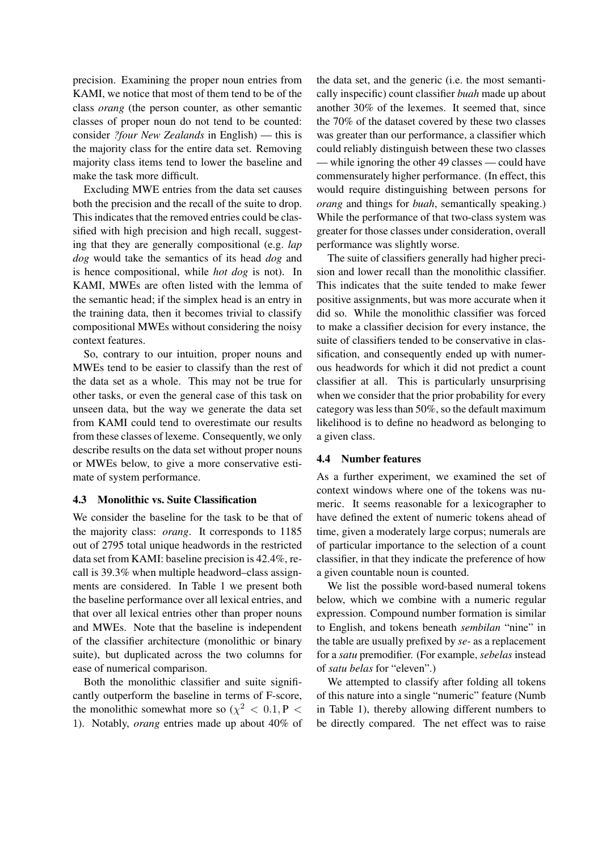precision. Examining the proper noun entries from KAMI, we notice that most of them tend to be of the class *orang* (the person counter, as other semantic classes of proper noun do not tend to be counted: consider *?four New Zealands* in English) — this is the majority class for the entire data set. Removing majority class items tend to lower the baseline and make the task more difficult.

Excluding MWE entries from the data set causes both the precision and the recall of the suite to drop. This indicates that the removed entries could be classified with high precision and high recall, suggesting that they are generally compositional (e.g. *lap dog* would take the semantics of its head *dog* and is hence compositional, while *hot dog* is not). In KAMI, MWEs are often listed with the lemma of the semantic head; if the simplex head is an entry in the training data, then it becomes trivial to classify compositional MWEs without considering the noisy context features.

So, contrary to our intuition, proper nouns and MWEs tend to be easier to classify than the rest of the data set as a whole. This may not be true for other tasks, or even the general case of this task on unseen data, but the way we generate the data set from KAMI could tend to overestimate our results from these classes of lexeme. Consequently, we only describe results on the data set without proper nouns or MWEs below, to give a more conservative estimate of system performance.

### 4.3 Monolithic vs. Suite Classification

We consider the baseline for the task to be that of the majority class: *orang*. It corresponds to 1185 out of 2795 total unique headwords in the restricted data set from KAMI: baseline precision is 42.4%, recall is 39.3% when multiple headword–class assignments are considered. In Table 1 we present both the baseline performance over all lexical entries, and that over all lexical entries other than proper nouns and MWEs. Note that the baseline is independent of the classifier architecture (monolithic or binary suite), but duplicated across the two columns for ease of numerical comparison.

Both the monolithic classifier and suite significantly outperform the baseline in terms of F-score, the monolithic somewhat more so  $(\chi^2 < 0.1, P <$ 1). Notably, *orang* entries made up about 40% of

the data set, and the generic (i.e. the most semantically inspecific) count classifier *buah* made up about another 30% of the lexemes. It seemed that, since the 70% of the dataset covered by these two classes was greater than our performance, a classifier which could reliably distinguish between these two classes — while ignoring the other 49 classes — could have commensurately higher performance. (In effect, this would require distinguishing between persons for *orang* and things for *buah*, semantically speaking.) While the performance of that two-class system was greater for those classes under consideration, overall performance was slightly worse.

The suite of classifiers generally had higher precision and lower recall than the monolithic classifier. This indicates that the suite tended to make fewer positive assignments, but was more accurate when it did so. While the monolithic classifier was forced to make a classifier decision for every instance, the suite of classifiers tended to be conservative in classification, and consequently ended up with numerous headwords for which it did not predict a count classifier at all. This is particularly unsurprising when we consider that the prior probability for every category was less than 50%, so the default maximum likelihood is to define no headword as belonging to a given class.

#### 4.4 Number features

As a further experiment, we examined the set of context windows where one of the tokens was numeric. It seems reasonable for a lexicographer to have defined the extent of numeric tokens ahead of time, given a moderately large corpus; numerals are of particular importance to the selection of a count classifier, in that they indicate the preference of how a given countable noun is counted.

We list the possible word-based numeral tokens below, which we combine with a numeric regular expression. Compound number formation is similar to English, and tokens beneath *sembilan* "nine" in the table are usually prefixed by *se-* as a replacement for a *satu* premodifier. (For example, *sebelas* instead of *satu belas* for "eleven".)

We attempted to classify after folding all tokens of this nature into a single "numeric" feature (Numb in Table 1), thereby allowing different numbers to be directly compared. The net effect was to raise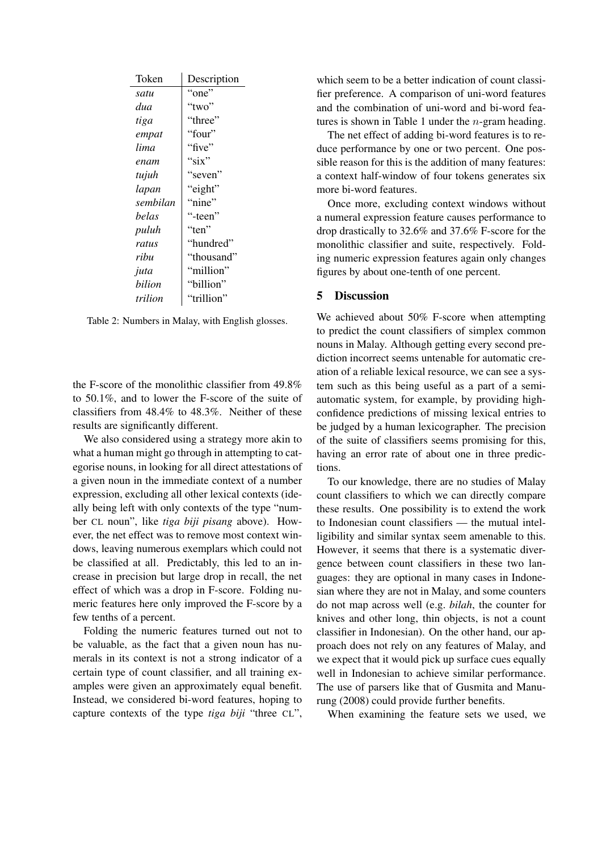| Token    | Description |  |  |  |  |
|----------|-------------|--|--|--|--|
| satu     | "one"       |  |  |  |  |
| dua      | "two"       |  |  |  |  |
| tiga     | "three"     |  |  |  |  |
| empat    | "four"      |  |  |  |  |
| lima     | "five"      |  |  |  |  |
| enam     | "six"       |  |  |  |  |
| tujuh    | "seven"     |  |  |  |  |
| lapan    | "eight"     |  |  |  |  |
| sembilan | "nine"      |  |  |  |  |
| belas    | "-teen"     |  |  |  |  |
| puluh    | "ten"       |  |  |  |  |
| ratus    | "hundred"   |  |  |  |  |
| ribu     | "thousand"  |  |  |  |  |
| juta     | "million"   |  |  |  |  |
| bilion   | "billion"   |  |  |  |  |
| trilion  | "trillion"  |  |  |  |  |

Table 2: Numbers in Malay, with English glosses.

the F-score of the monolithic classifier from 49.8% to 50.1%, and to lower the F-score of the suite of classifiers from 48.4% to 48.3%. Neither of these results are significantly different.

We also considered using a strategy more akin to what a human might go through in attempting to categorise nouns, in looking for all direct attestations of a given noun in the immediate context of a number expression, excluding all other lexical contexts (ideally being left with only contexts of the type "number CL noun", like *tiga biji pisang* above). However, the net effect was to remove most context windows, leaving numerous exemplars which could not be classified at all. Predictably, this led to an increase in precision but large drop in recall, the net effect of which was a drop in F-score. Folding numeric features here only improved the F-score by a few tenths of a percent.

Folding the numeric features turned out not to be valuable, as the fact that a given noun has numerals in its context is not a strong indicator of a certain type of count classifier, and all training examples were given an approximately equal benefit. Instead, we considered bi-word features, hoping to capture contexts of the type *tiga biji* "three CL",

which seem to be a better indication of count classifier preference. A comparison of uni-word features and the combination of uni-word and bi-word features is shown in Table 1 under the *n*-gram heading.

The net effect of adding bi-word features is to reduce performance by one or two percent. One possible reason for this is the addition of many features: a context half-window of four tokens generates six more bi-word features.

Once more, excluding context windows without a numeral expression feature causes performance to drop drastically to 32.6% and 37.6% F-score for the monolithic classifier and suite, respectively. Folding numeric expression features again only changes figures by about one-tenth of one percent.

## 5 Discussion

We achieved about 50% F-score when attempting to predict the count classifiers of simplex common nouns in Malay. Although getting every second prediction incorrect seems untenable for automatic creation of a reliable lexical resource, we can see a system such as this being useful as a part of a semiautomatic system, for example, by providing highconfidence predictions of missing lexical entries to be judged by a human lexicographer. The precision of the suite of classifiers seems promising for this, having an error rate of about one in three predictions.

To our knowledge, there are no studies of Malay count classifiers to which we can directly compare these results. One possibility is to extend the work to Indonesian count classifiers — the mutual intelligibility and similar syntax seem amenable to this. However, it seems that there is a systematic divergence between count classifiers in these two languages: they are optional in many cases in Indonesian where they are not in Malay, and some counters do not map across well (e.g. *bilah*, the counter for knives and other long, thin objects, is not a count classifier in Indonesian). On the other hand, our approach does not rely on any features of Malay, and we expect that it would pick up surface cues equally well in Indonesian to achieve similar performance. The use of parsers like that of Gusmita and Manurung (2008) could provide further benefits.

When examining the feature sets we used, we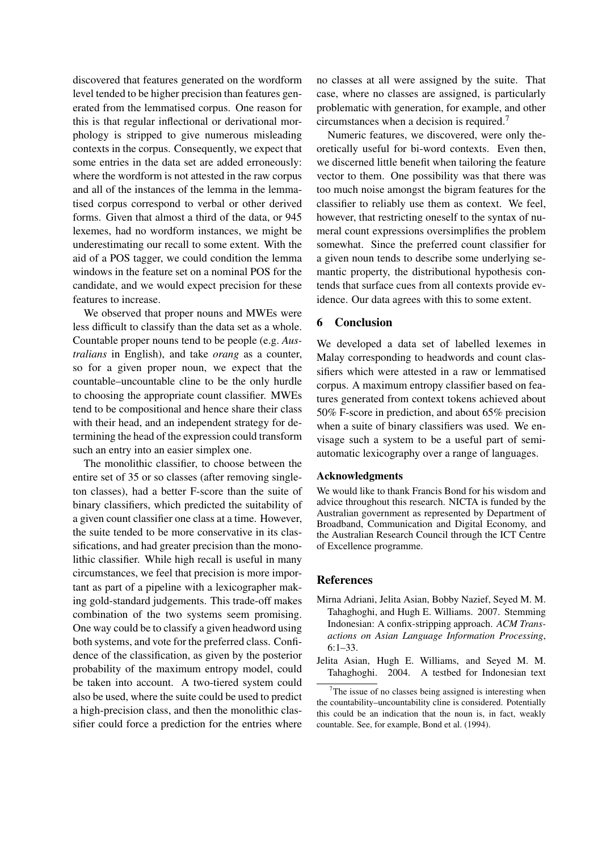discovered that features generated on the wordform level tended to be higher precision than features generated from the lemmatised corpus. One reason for this is that regular inflectional or derivational morphology is stripped to give numerous misleading contexts in the corpus. Consequently, we expect that some entries in the data set are added erroneously: where the wordform is not attested in the raw corpus and all of the instances of the lemma in the lemmatised corpus correspond to verbal or other derived forms. Given that almost a third of the data, or 945 lexemes, had no wordform instances, we might be underestimating our recall to some extent. With the aid of a POS tagger, we could condition the lemma windows in the feature set on a nominal POS for the candidate, and we would expect precision for these features to increase.

We observed that proper nouns and MWEs were less difficult to classify than the data set as a whole. Countable proper nouns tend to be people (e.g. *Australians* in English), and take *orang* as a counter, so for a given proper noun, we expect that the countable–uncountable cline to be the only hurdle to choosing the appropriate count classifier. MWEs tend to be compositional and hence share their class with their head, and an independent strategy for determining the head of the expression could transform such an entry into an easier simplex one.

The monolithic classifier, to choose between the entire set of 35 or so classes (after removing singleton classes), had a better F-score than the suite of binary classifiers, which predicted the suitability of a given count classifier one class at a time. However, the suite tended to be more conservative in its classifications, and had greater precision than the monolithic classifier. While high recall is useful in many circumstances, we feel that precision is more important as part of a pipeline with a lexicographer making gold-standard judgements. This trade-off makes combination of the two systems seem promising. One way could be to classify a given headword using both systems, and vote for the preferred class. Confidence of the classification, as given by the posterior probability of the maximum entropy model, could be taken into account. A two-tiered system could also be used, where the suite could be used to predict a high-precision class, and then the monolithic classifier could force a prediction for the entries where no classes at all were assigned by the suite. That case, where no classes are assigned, is particularly problematic with generation, for example, and other circumstances when a decision is required.<sup>7</sup>

Numeric features, we discovered, were only theoretically useful for bi-word contexts. Even then, we discerned little benefit when tailoring the feature vector to them. One possibility was that there was too much noise amongst the bigram features for the classifier to reliably use them as context. We feel, however, that restricting oneself to the syntax of numeral count expressions oversimplifies the problem somewhat. Since the preferred count classifier for a given noun tends to describe some underlying semantic property, the distributional hypothesis contends that surface cues from all contexts provide evidence. Our data agrees with this to some extent.

## 6 Conclusion

We developed a data set of labelled lexemes in Malay corresponding to headwords and count classifiers which were attested in a raw or lemmatised corpus. A maximum entropy classifier based on features generated from context tokens achieved about 50% F-score in prediction, and about 65% precision when a suite of binary classifiers was used. We envisage such a system to be a useful part of semiautomatic lexicography over a range of languages.

### Acknowledgments

We would like to thank Francis Bond for his wisdom and advice throughout this research. NICTA is funded by the Australian government as represented by Department of Broadband, Communication and Digital Economy, and the Australian Research Council through the ICT Centre of Excellence programme.

### References

- Mirna Adriani, Jelita Asian, Bobby Nazief, Seyed M. M. Tahaghoghi, and Hugh E. Williams. 2007. Stemming Indonesian: A confix-stripping approach. *ACM Transactions on Asian Language Information Processing*, 6:1–33.
- Jelita Asian, Hugh E. Williams, and Seyed M. M. Tahaghoghi. 2004. A testbed for Indonesian text

 $7$ The issue of no classes being assigned is interesting when the countability–uncountability cline is considered. Potentially this could be an indication that the noun is, in fact, weakly countable. See, for example, Bond et al. (1994).